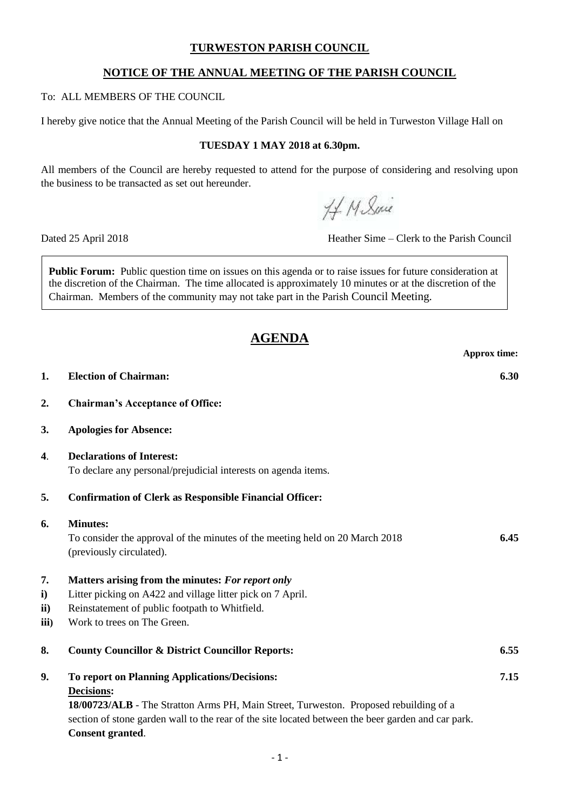## **TURWESTON PARISH COUNCIL**

## **NOTICE OF THE ANNUAL MEETING OF THE PARISH COUNCIL**

### To: ALL MEMBERS OF THE COUNCIL

I hereby give notice that the Annual Meeting of the Parish Council will be held in Turweston Village Hall on

#### **TUESDAY 1 MAY 2018 at 6.30pm.**

All members of the Council are hereby requested to attend for the purpose of considering and resolving upon the business to be transacted as set out hereunder.

44 M Suice

Dated 25 April 2018 Heather Sime – Clerk to the Parish Council

**Public Forum:** Public question time on issues on this agenda or to raise issues for future consideration at the discretion of the Chairman. The time allocated is approximately 10 minutes or at the discretion of the Chairman. Members of the community may not take part in the Parish Council Meeting.

# **AGENDA**

**Approx time: 1. Election of Chairman: 6.30 2. Chairman's Acceptance of Office: 3. Apologies for Absence: 4**. **Declarations of Interest:** To declare any personal/prejudicial interests on agenda items. **5. Confirmation of Clerk as Responsible Financial Officer: 6. Minutes:**  To consider the approval of the minutes of the meeting held on 20 March 2018 **6.45** (previously circulated). **7. Matters arising from the minutes:** *For report only* **i)** Litter picking on A422 and village litter pick on 7 April. **ii)** Reinstatement of public footpath to Whitfield. **iii**) Work to trees on The Green. **8. County Councillor & District Councillor Reports: 6.55 9. To report on Planning Applications/Decisions: 7.15 Decisions: 18/00723/ALB** - The Stratton Arms PH, Main Street, Turweston. Proposed rebuilding of a section of stone garden wall to the rear of the site located between the beer garden and car park. **Consent granted**.